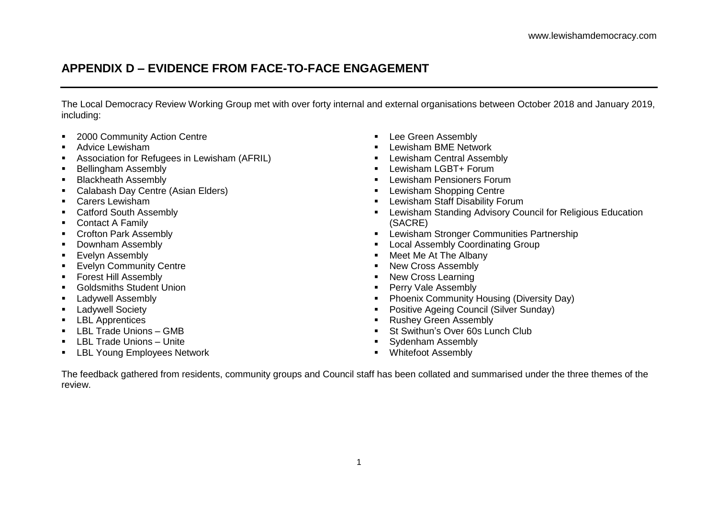## **APPENDIX D – EVIDENCE FROM FACE-TO-FACE ENGAGEMENT**

The Local Democracy Review Working Group met with over forty internal and external organisations between October 2018 and January 2019, including:

- **2000 Community Action Centre**
- Advice Lewisham
- Association for Refugees in Lewisham (AFRIL)
- Bellingham Assembly
- **Blackheath Assembly**
- Calabash Day Centre (Asian Elders)
- Carers Lewisham
- Catford South Assembly
- Contact A Family
- **Crofton Park Assembly**
- Downham Assembly
- **Evelyn Assembly**
- **Evelyn Community Centre**
- **Forest Hill Assembly**
- **Goldsmiths Student Union**
- Ladywell Assembly
- **E** Ladywell Society
- **LBL** Apprentices
- LBL Trade Unions GMB
- $\blacksquare$  LBL Trade Unions Unite
- **EXECT:** LBL Young Employees Network
- **Lee Green Assembly**
- **-** Lewisham BME Network
- **-** Lewisham Central Assembly
- **-** Lewisham LGBT+ Forum
- **Lewisham Pensioners Forum**
- **-** Lewisham Shopping Centre
- **-** Lewisham Staff Disability Forum
- Lewisham Standing Advisory Council for Religious Education (SACRE)
- **Lewisham Stronger Communities Partnership**
- **Local Assembly Coordinating Group**
- Meet Me At The Albany
- New Cross Assembly
- New Cross Learning
- **Perry Vale Assembly**
- **Phoenix Community Housing (Diversity Day)**
- **Positive Ageing Council (Silver Sunday)**
- **Rushey Green Assembly**
- St Swithun's Over 60s Lunch Club
- **Sydenham Assembly**
- **Whitefoot Assembly**

The feedback gathered from residents, community groups and Council staff has been collated and summarised under the three themes of the review.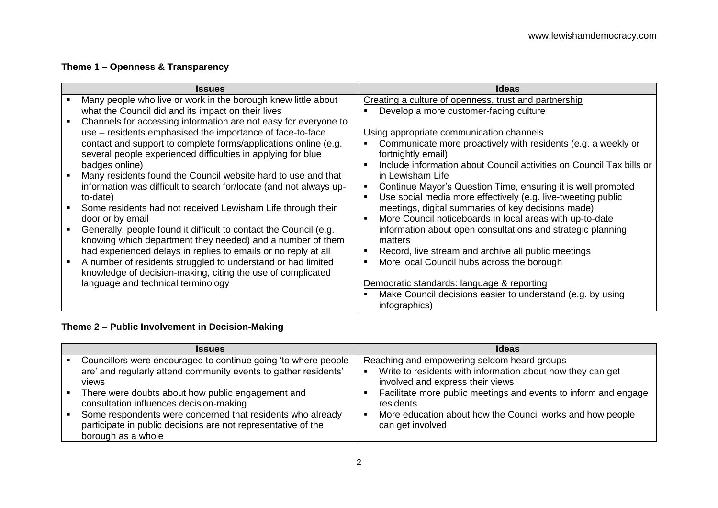## **Theme 1 – Openness & Transparency**

| <b>Issues</b>                                                                                                                   | <b>Ideas</b>                                                           |
|---------------------------------------------------------------------------------------------------------------------------------|------------------------------------------------------------------------|
| Many people who live or work in the borough knew little about                                                                   | Creating a culture of openness, trust and partnership                  |
| what the Council did and its impact on their lives                                                                              | Develop a more customer-facing culture                                 |
| Channels for accessing information are not easy for everyone to                                                                 |                                                                        |
| use – residents emphasised the importance of face-to-face                                                                       | Using appropriate communication channels                               |
| contact and support to complete forms/applications online (e.g.                                                                 | Communicate more proactively with residents (e.g. a weekly or          |
| several people experienced difficulties in applying for blue                                                                    | fortnightly email)                                                     |
| badges online)                                                                                                                  | Include information about Council activities on Council Tax bills or   |
| Many residents found the Council website hard to use and that                                                                   | in Lewisham Life                                                       |
| information was difficult to search for/locate (and not always up-                                                              | Continue Mayor's Question Time, ensuring it is well promoted           |
| to-date)                                                                                                                        | Use social media more effectively (e.g. live-tweeting public           |
| Some residents had not received Lewisham Life through their                                                                     | meetings, digital summaries of key decisions made)                     |
| door or by email                                                                                                                | More Council noticeboards in local areas with up-to-date               |
| Generally, people found it difficult to contact the Council (e.g.<br>knowing which department they needed) and a number of them | information about open consultations and strategic planning<br>matters |
| had experienced delays in replies to emails or no reply at all                                                                  | Record, live stream and archive all public meetings                    |
| A number of residents struggled to understand or had limited                                                                    | More local Council hubs across the borough                             |
| knowledge of decision-making, citing the use of complicated                                                                     |                                                                        |
| language and technical terminology                                                                                              | Democratic standards: language & reporting                             |
|                                                                                                                                 | Make Council decisions easier to understand (e.g. by using             |
|                                                                                                                                 | infographics)                                                          |

## **Theme 2 – Public Involvement in Decision-Making**

| <b>Issues</b>                                                                                                                                                                                                                                                                                                                                                             | <b>Ideas</b>                                                                                                                                                                                                                                                                                                   |
|---------------------------------------------------------------------------------------------------------------------------------------------------------------------------------------------------------------------------------------------------------------------------------------------------------------------------------------------------------------------------|----------------------------------------------------------------------------------------------------------------------------------------------------------------------------------------------------------------------------------------------------------------------------------------------------------------|
| Councillors were encouraged to continue going 'to where people<br>are' and regularly attend community events to gather residents'<br>views<br>There were doubts about how public engagement and<br>consultation influences decision-making<br>Some respondents were concerned that residents who already<br>participate in public decisions are not representative of the | Reaching and empowering seldom heard groups<br>Write to residents with information about how they can get<br>involved and express their views<br>Facilitate more public meetings and events to inform and engage<br>residents<br>More education about how the Council works and how people<br>can get involved |
| borough as a whole                                                                                                                                                                                                                                                                                                                                                        |                                                                                                                                                                                                                                                                                                                |